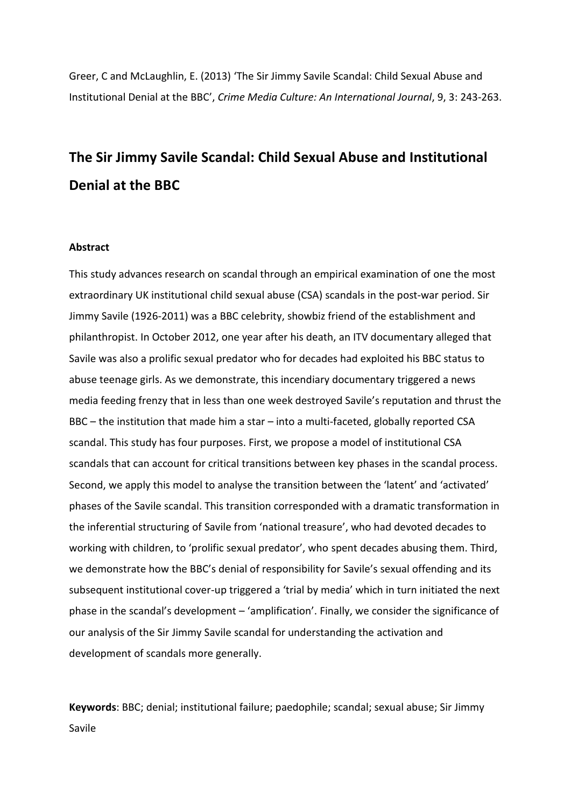Greer, C and McLaughlin, E. (2013) 'The Sir Jimmy Savile Scandal: Child Sexual Abuse and Institutional Denial at the BBC͛, *Crime Media Culture: An International Journal*, 9, 3: 243-263.

# **The Sir Jimmy Savile Scandal: Child Sexual Abuse and Institutional Denial at the BBC**

## **Abstract**

This study advances research on scandal through an empirical examination of one the most extraordinary UK institutional child sexual abuse (CSA) scandals in the post-war period. Sir Jimmy Savile (1926-2011) was a BBC celebrity, showbiz friend of the establishment and philanthropist. In October 2012, one year after his death, an ITV documentary alleged that Savile was also a prolific sexual predator who for decades had exploited his BBC status to abuse teenage girls. As we demonstrate, this incendiary documentary triggered a news media feeding frenzy that in less than one week destroyed Savile's reputation and thrust the BBC – the institution that made him a star – into a multi-faceted, globally reported CSA scandal. This study has four purposes. First, we propose a model of institutional CSA scandals that can account for critical transitions between key phases in the scandal process. Second, we apply this model to analyse the transition between the 'latent' and 'activated' phases of the Savile scandal. This transition corresponded with a dramatic transformation in the inferential structuring of Savile from 'national treasure', who had devoted decades to working with children, to 'prolific sexual predator', who spent decades abusing them. Third, we demonstrate how the BBC's denial of responsibility for Savile's sexual offending and its subsequent institutional cover-up triggered a 'trial by media' which in turn initiated the next phase in the scandal's development – 'amplification'. Finally, we consider the significance of our analysis of the Sir Jimmy Savile scandal for understanding the activation and development of scandals more generally.

**Keywords**: BBC; denial; institutional failure; paedophile; scandal; sexual abuse; Sir Jimmy Savile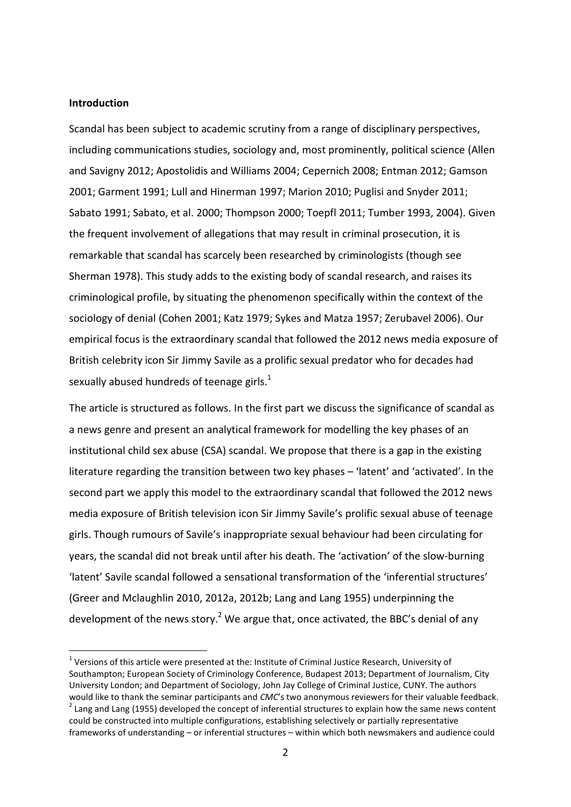## **Introduction**

1

Scandal has been subject to academic scrutiny from a range of disciplinary perspectives, including communications studies, sociology and, most prominently, political science [\(Allen](#page-23-0)  [and Savigny 2012;](#page-23-0) [Apostolidis and Williams 2004;](#page-23-1) [Cepernich 2008;](#page-23-2) [Entman 2012;](#page-23-3) [Gamson](#page-23-4)  [2001;](#page-23-4) [Garment 1991;](#page-24-0) [Lull and Hinerman 1997;](#page-24-1) [Marion 2010;](#page-24-2) [Puglisi and Snyder 2011;](#page-25-0) [Sabato 1991;](#page-25-1) [Sabato, et al. 2000;](#page-25-2) [Thompson 2000;](#page-25-3) [Toepfl 2011;](#page-25-4) [Tumber 1993,](#page-25-5) [2004\)](#page-25-6). Given the frequent involvement of allegations that may result in criminal prosecution, it is remarkable that scandal has scarcely been researched by criminologists [\(though see](#page-25-7)  [Sherman 1978\)](#page-25-7). This study adds to the existing body of scandal research, and raises its criminological profile, by situating the phenomenon specifically within the context of the sociology of denial [\(Cohen 2001;](#page-23-5) [Katz 1979;](#page-24-3) [Sykes and Matza 1957;](#page-25-8) [Zerubavel 2006\)](#page-25-9). Our empirical focus is the extraordinary scandal that followed the 2012 news media exposure of British celebrity icon Sir Jimmy Savile as a prolific sexual predator who for decades had sexually abused hundreds of teenage girls.<sup>1</sup>

The article is structured as follows. In the first part we discuss the significance of scandal as a news genre and present an analytical framework for modelling the key phases of an institutional child sex abuse (CSA) scandal. We propose that there is a gap in the existing literature regarding the transition between two key phases – 'latent' and 'activated'. In the second part we apply this model to the extraordinary scandal that followed the 2012 news media exposure of British television icon Sir Jimmy Savile's prolific sexual abuse of teenage girls. Though rumours of Savile's inappropriate sexual behaviour had been circulating for years, the scandal did not break until after his death. The 'activation' of the slow-burning 'latent' Savile scandal followed a sensational transformation of the 'inferential structures' [\(Greer and Mclaughlin 2010,](#page-24-4) [2012a,](#page-24-5) [2012b;](#page-24-6) [Lang and Lang 1955\)](#page-24-7) underpinning the development of the news story.<sup>2</sup> We argue that, once activated, the BBC's denial of any

 $1$  Versions of this article were presented at the: Institute of Criminal Justice Research, University of Southampton; European Society of Criminology Conference, Budapest 2013; Department of Journalism, City University London; and Department of Sociology, John Jay College of Criminal Justice, CUNY. The authors would like to thank the seminar participants and *CMC*'s two anonymous reviewers for their valuable feedback.  $2$  Lang and Lang (1955) developed the concept of inferential structures to explain how the same news content could be constructed into multiple configurations, establishing selectively or partially representative frameworks of understanding – or inferential structures – within which both newsmakers and audience could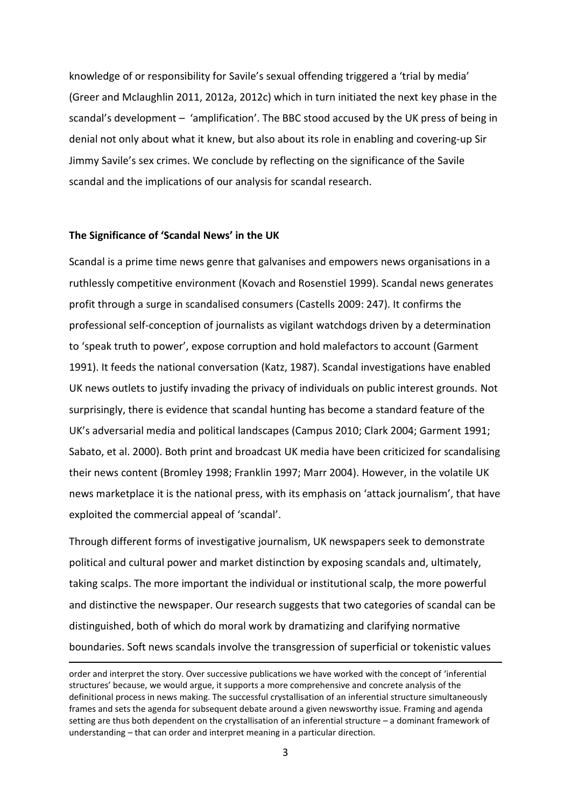knowledge of or responsibility for Savile's sexual offending triggered a 'trial by media' [\(Greer and Mclaughlin 2011,](#page-24-8) [2012a,](#page-24-5) [2012c\)](#page-24-9) which in turn initiated the next key phase in the scandal's development – 'amplification'. The BBC stood accused by the UK press of being in denial not only about what it knew, but also about its role in enabling and covering-up Sir Jimmy Savile's sex crimes. We conclude by reflecting on the significance of the Savile scandal and the implications of our analysis for scandal research.

## **The Significance of ͚Scandal News͛ in the UK**

.

Scandal is a prime time news genre that galvanises and empowers news organisations in a ruthlessly competitive environment [\(Kovach and Rosenstiel 1999\)](#page-24-10). Scandal news generates profit through a surge in scandalised consumers [\(Castells 2009: 247\)](#page-23-6). It confirms the professional self-conception of journalists as vigilant watchdogs driven by a determination to 'speak truth to power', expose corruption and hold malefactors to account (Garment [1991\)](#page-24-0). It feeds the national conversation (Katz, 1987). Scandal investigations have enabled UK news outlets to justify invading the privacy of individuals on public interest grounds. Not surprisingly, there is evidence that scandal hunting has become a standard feature of the UK's adversarial media and political landscapes [\(Campus 2010;](#page-23-7) [Clark 2004;](#page-23-8) [Garment 1991;](#page-24-0) [Sabato, et al. 2000\)](#page-25-2). Both print and broadcast UK media have been criticized for scandalising their news content [\(Bromley 1998;](#page-23-9) [Franklin 1997;](#page-23-10) [Marr 2004\)](#page-24-11). However, in the volatile UK news marketplace it is the national press, with its emphasis on 'attack journalism', that have exploited the commercial appeal of 'scandal'.

Through different forms of investigative journalism, UK newspapers seek to demonstrate political and cultural power and market distinction by exposing scandals and, ultimately, taking scalps. The more important the individual or institutional scalp, the more powerful and distinctive the newspaper. Our research suggests that two categories of scandal can be distinguished, both of which do moral work by dramatizing and clarifying normative boundaries. Soft news scandals involve the transgression of superficial or tokenistic values

order and interpret the story. Over successive publications we have worked with the concept of 'inferential structures' because, we would argue, it supports a more comprehensive and concrete analysis of the definitional process in news making. The successful crystallisation of an inferential structure simultaneously frames and sets the agenda for subsequent debate around a given newsworthy issue. Framing and agenda setting are thus both dependent on the crystallisation of an inferential structure – a dominant framework of understanding – that can order and interpret meaning in a particular direction.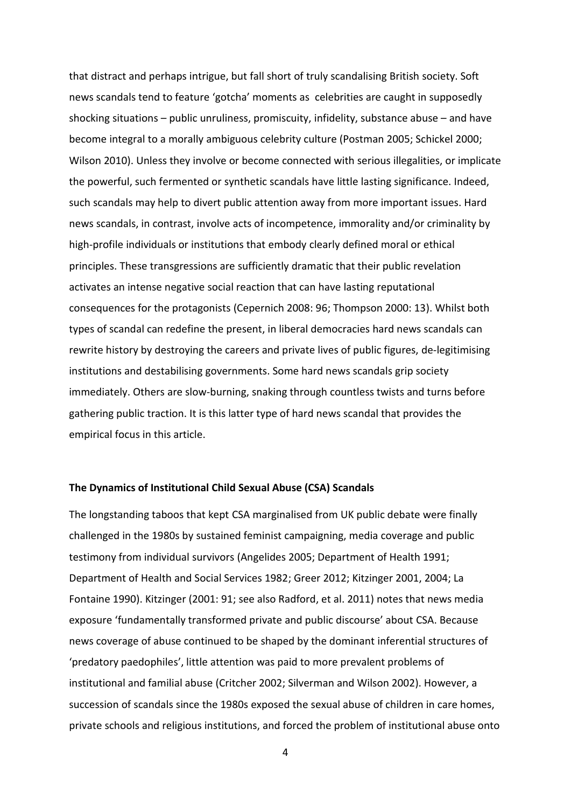that distract and perhaps intrigue, but fall short of truly scandalising British society. Soft news scandals tend to feature 'gotcha' moments as celebrities are caught in supposedly shocking situations – public unruliness, promiscuity, infidelity, substance abuse – and have become integral to a morally ambiguous celebrity culture [\(Postman 2005;](#page-25-10) [Schickel 2000;](#page-25-11) [Wilson 2010\)](#page-25-12). Unless they involve or become connected with serious illegalities, or implicate the powerful, such fermented or synthetic scandals have little lasting significance. Indeed, such scandals may help to divert public attention away from more important issues. Hard news scandals, in contrast, involve acts of incompetence, immorality and/or criminality by high-profile individuals or institutions that embody clearly defined moral or ethical principles. These transgressions are sufficiently dramatic that their public revelation activates an intense negative social reaction that can have lasting reputational consequences for the protagonists [\(Cepernich 2008: 96;](#page-23-2) [Thompson 2000: 13\)](#page-25-3). Whilst both types of scandal can redefine the present, in liberal democracies hard news scandals can rewrite history by destroying the careers and private lives of public figures, de-legitimising institutions and destabilising governments. Some hard news scandals grip society immediately. Others are slow-burning, snaking through countless twists and turns before gathering public traction. It is this latter type of hard news scandal that provides the empirical focus in this article.

## **The Dynamics of Institutional Child Sexual Abuse (CSA) Scandals**

The longstanding taboos that kept CSA marginalised from UK public debate were finally challenged in the 1980s by sustained feminist campaigning, media coverage and public testimony from individual survivors [\(Angelides 2005;](#page-23-11) [Department of Health 1991;](#page-23-12) [Department of Health and Social Services 1982;](#page-23-13) [Greer 2012;](#page-24-12) [Kitzinger 2001,](#page-24-13) [2004;](#page-24-14) [La](#page-24-15)  [Fontaine 1990\)](#page-24-15). Kitzinger [\(2001: 91;](#page-24-13) [see also Radford, et al. 2011\)](#page-25-13) notes that news media exposure 'fundamentally transformed private and public discourse' about CSA. Because news coverage of abuse continued to be shaped by the dominant inferential structures of 'predatory paedophiles', little attention was paid to more prevalent problems of institutional and familial abuse [\(Critcher 2002;](#page-23-14) [Silverman and Wilson 2002\)](#page-25-14). However, a succession of scandals since the 1980s exposed the sexual abuse of children in care homes, private schools and religious institutions, and forced the problem of institutional abuse onto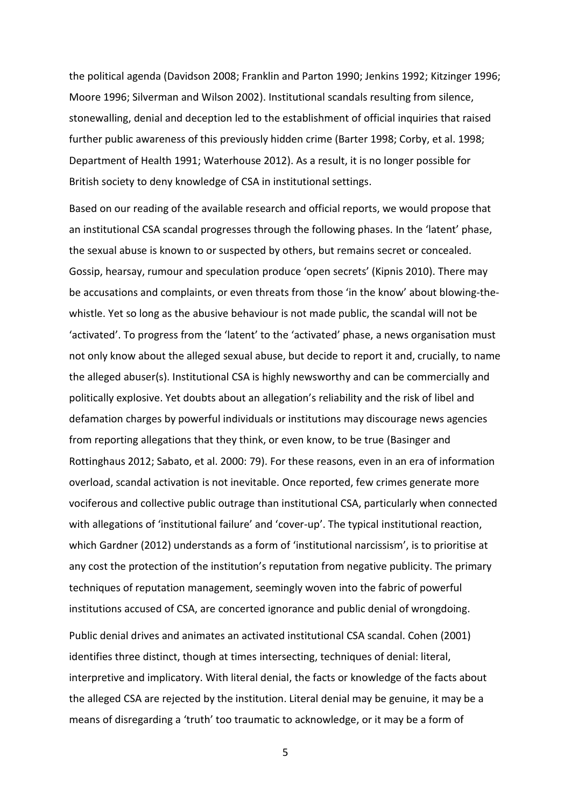the political agenda [\(Davidson 2008;](#page-23-15) [Franklin and Parton 1990;](#page-23-16) [Jenkins 1992;](#page-24-16) [Kitzinger 1996;](#page-24-17) [Moore 1996;](#page-24-18) [Silverman and Wilson 2002\)](#page-25-14). Institutional scandals resulting from silence, stonewalling, denial and deception led to the establishment of official inquiries that raised further public awareness of this previously hidden crime [\(Barter 1998;](#page-23-17) [Corby, et al. 1998;](#page-23-18) [Department of Health 1991;](#page-23-12) [Waterhouse 2012\)](#page-25-15). As a result, it is no longer possible for British society to deny knowledge of CSA in institutional settings.

Based on our reading of the available research and official reports, we would propose that an institutional CSA scandal progresses through the following phases. In the 'latent' phase, the sexual abuse is known to or suspected by others, but remains secret or concealed. Gossip, hearsay, rumour and speculation produce 'open secrets' [\(Kipnis 2010\)](#page-24-19). There may be accusations and complaints, or even threats from those 'in the know' about blowing-thewhistle. Yet so long as the abusive behaviour is not made public, the scandal will not be 'activated'. To progress from the 'latent' to the 'activated' phase, a news organisation must not only know about the alleged sexual abuse, but decide to report it and, crucially, to name the alleged abuser(s). Institutional CSA is highly newsworthy and can be commercially and politically explosive. Yet doubts about an allegation's reliability and the risk of libel and defamation charges by powerful individuals or institutions may discourage news agencies from reporting allegations that they think, or even know, to be true [\(Basinger and](#page-23-19)  [Rottinghaus 2012;](#page-23-19) [Sabato, et al. 2000: 79\)](#page-25-2). For these reasons, even in an era of information overload, scandal activation is not inevitable. Once reported, few crimes generate more vociferous and collective public outrage than institutional CSA, particularly when connected with allegations of 'institutional failure' and 'cover-up'. The typical institutional reaction, which Gardner [\(2012\)](#page-23-20) understands as a form of 'institutional narcissism', is to prioritise at any cost the protection of the institution's reputation from negative publicity. The primary techniques of reputation management, seemingly woven into the fabric of powerful institutions accused of CSA, are concerted ignorance and public denial of wrongdoing. Public denial drives and animates an activated institutional CSA scandal. Cohen [\(2001\)](#page-23-5) identifies three distinct, though at times intersecting, techniques of denial: literal, interpretive and implicatory. With literal denial, the facts or knowledge of the facts about the alleged CSA are rejected by the institution. Literal denial may be genuine, it may be a means of disregarding a 'truth' too traumatic to acknowledge, or it may be a form of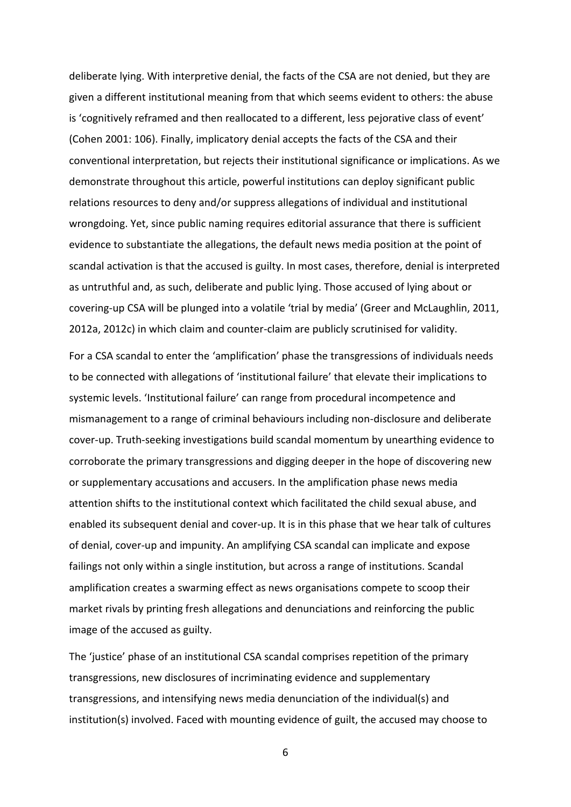deliberate lying. With interpretive denial, the facts of the CSA are not denied, but they are given a different institutional meaning from that which seems evident to others: the abuse is 'cognitively reframed and then reallocated to a different, less pejorative class of event' [\(Cohen 2001: 106\)](#page-23-5). Finally, implicatory denial accepts the facts of the CSA and their conventional interpretation, but rejects their institutional significance or implications. As we demonstrate throughout this article, powerful institutions can deploy significant public relations resources to deny and/or suppress allegations of individual and institutional wrongdoing. Yet, since public naming requires editorial assurance that there is sufficient evidence to substantiate the allegations, the default news media position at the point of scandal activation is that the accused is guilty. In most cases, therefore, denial is interpreted as untruthful and, as such, deliberate and public lying. Those accused of lying about or covering-up CSA will be plunged into a volatile 'trial by media' (Greer and McLaughlin, 2011, 2012a, 2012c) in which claim and counter-claim are publicly scrutinised for validity.

For a CSA scandal to enter the 'amplification' phase the transgressions of individuals needs to be connected with allegations of 'institutional failure' that elevate their implications to systemic levels. 'Institutional failure' can range from procedural incompetence and mismanagement to a range of criminal behaviours including non-disclosure and deliberate cover-up. Truth-seeking investigations build scandal momentum by unearthing evidence to corroborate the primary transgressions and digging deeper in the hope of discovering new or supplementary accusations and accusers. In the amplification phase news media attention shifts to the institutional context which facilitated the child sexual abuse, and enabled its subsequent denial and cover-up. It is in this phase that we hear talk of cultures of denial, cover-up and impunity. An amplifying CSA scandal can implicate and expose failings not only within a single institution, but across a range of institutions. Scandal amplification creates a swarming effect as news organisations compete to scoop their market rivals by printing fresh allegations and denunciations and reinforcing the public image of the accused as guilty.

The 'justice' phase of an institutional CSA scandal comprises repetition of the primary transgressions, new disclosures of incriminating evidence and supplementary transgressions, and intensifying news media denunciation of the individual(s) and institution(s) involved. Faced with mounting evidence of guilt, the accused may choose to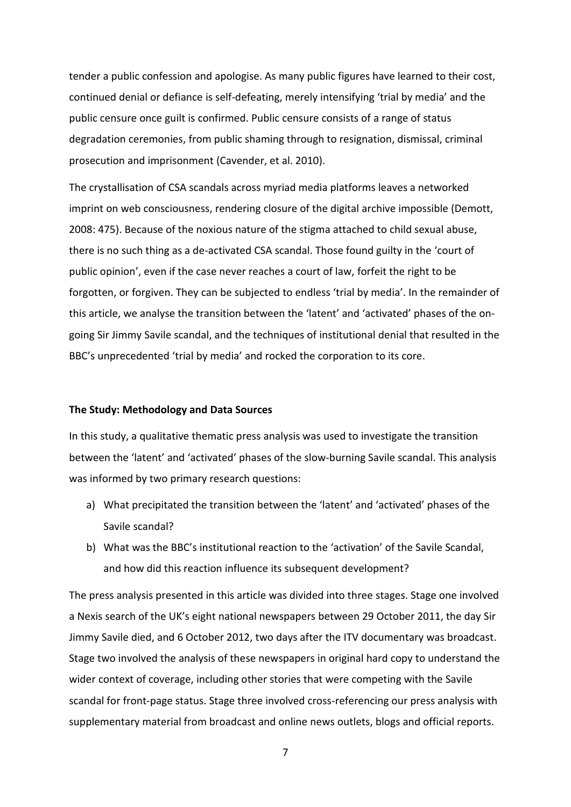tender a public confession and apologise. As many public figures have learned to their cost, continued denial or defiance is self-defeating, merely intensifying 'trial by media' and the public censure once guilt is confirmed. Public censure consists of a range of status degradation ceremonies, from public shaming through to resignation, dismissal, criminal prosecution and imprisonment [\(Cavender, et al. 2010\)](#page-23-21).

The crystallisation of CSA scandals across myriad media platforms leaves a networked imprint on web consciousness, rendering closure of the digital archive impossible (Demott, 2008: 475). Because of the noxious nature of the stigma attached to child sexual abuse, there is no such thing as a de-activated CSA scandal. Those found guilty in the 'court of public opinion͛, even if the case never reaches a court of law, forfeit the right to be forgotten, or forgiven. They can be subjected to endless 'trial by media'. In the remainder of this article, we analyse the transition between the 'latent' and 'activated' phases of the ongoing Sir Jimmy Savile scandal, and the techniques of institutional denial that resulted in the BBC's unprecedented 'trial by media' and rocked the corporation to its core.

#### **The Study: Methodology and Data Sources**

In this study, a qualitative thematic press analysis was used to investigate the transition between the 'latent' and 'activated' phases of the slow-burning Savile scandal. This analysis was informed by two primary research questions:

- a) What precipitated the transition between the 'latent' and 'activated' phases of the Savile scandal?
- b) What was the BBC's institutional reaction to the 'activation' of the Savile Scandal, and how did this reaction influence its subsequent development?

The press analysis presented in this article was divided into three stages. Stage one involved a Nexis search of the UK's eight national newspapers between 29 October 2011, the day Sir Jimmy Savile died, and 6 October 2012, two days after the ITV documentary was broadcast. Stage two involved the analysis of these newspapers in original hard copy to understand the wider context of coverage, including other stories that were competing with the Savile scandal for front-page status. Stage three involved cross-referencing our press analysis with supplementary material from broadcast and online news outlets, blogs and official reports.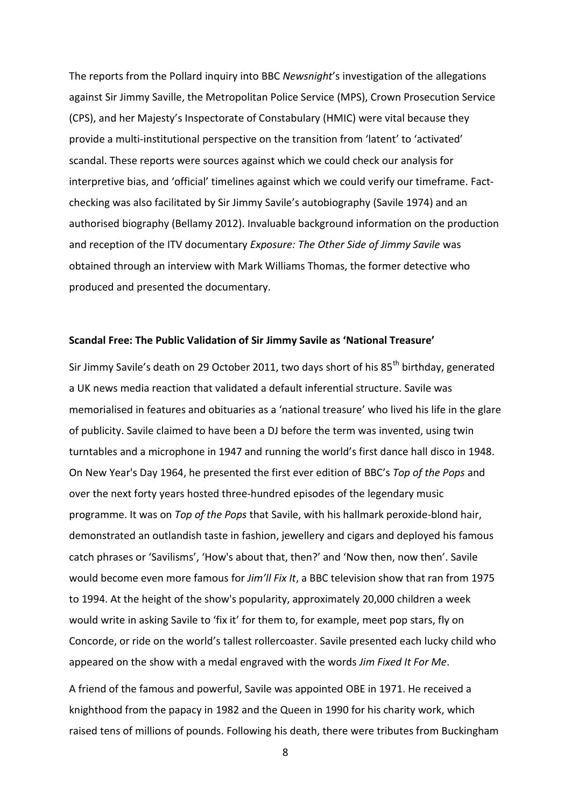The reports from the Pollard inquiry into BBC *Newsnight's* investigation of the allegations against Sir Jimmy Saville, the Metropolitan Police Service (MPS), Crown Prosecution Service (CPS), and her Majesty's Inspectorate of Constabulary (HMIC) were vital because they provide a multi-institutional perspective on the transition from 'latent' to 'activated' scandal. These reports were sources against which we could check our analysis for interpretive bias, and 'official' timelines against which we could verify our timeframe. Fact-checking was also facilitated by Sir Jimmy Savile's autobiography [\(Savile 1974\)](#page-25-16) and an authorised biography [\(Bellamy 2012\)](#page-23-22). Invaluable background information on the production and reception of the ITV documentary *Exposure: The Other Side of Jimmy Savile* was obtained through an interview with Mark Williams Thomas, the former detective who produced and presented the documentary.

#### **Scandal Free: The Public Validation of Sir Jimmy Savile as 'National Treasure'**

Sir Jimmy Savile's death on 29 October 2011, two days short of his 85<sup>th</sup> birthday, generated a UK news media reaction that validated a default inferential structure. Savile was memorialised in features and obituaries as a 'national treasure' who lived his life in the glare of publicity. Savile claimed to have been a DJ before the term was invented, using twin turntables and a microphone in 1947 and running the world's first dance hall disco in 1948. On New Year's Day 1964, he presented the first ever edition of BBC͛s *Top of the Pops* and over the next forty years hosted three-hundred episodes of the legendary music programme. It was on *Top of the Pops* that Savile, with his hallmark peroxide-blond hair, demonstrated an outlandish taste in fashion, jewellery and cigars and deployed his famous catch phrases or 'Savilisms', 'How's about that, then?' and 'Now then, now then'. Savile would become even more famous for *Jim'll Fix It*, a BBC television show that ran from 1975 to 1994. At the height of the show's popularity, approximately 20,000 children a week would write in asking Savile to 'fix it' for them to, for example, meet pop stars, fly on Concorde, or ride on the world's tallest rollercoaster. Savile presented each lucky child who appeared on the show with a medal engraved with the words *Jim Fixed It For Me*.

A friend of the famous and powerful, Savile was appointed OBE in 1971. He received a knighthood from the papacy in 1982 and the Queen in 1990 for his charity work, which raised tens of millions of pounds. Following his death, there were tributes from Buckingham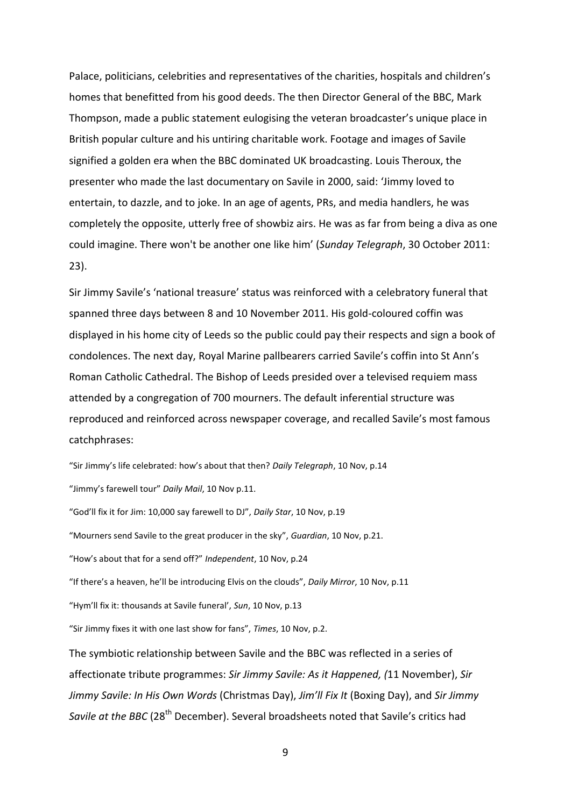Palace, politicians, celebrities and representatives of the charities, hospitals and children's homes that benefitted from his good deeds. The then Director General of the BBC, Mark Thompson, made a public statement eulogising the veteran broadcaster's unique place in British popular culture and his untiring charitable work. Footage and images of Savile signified a golden era when the BBC dominated UK broadcasting. Louis Theroux, the presenter who made the last documentary on Savile in 2000, said: 'Jimmy loved to entertain, to dazzle, and to joke. In an age of agents, PRs, and media handlers, he was completely the opposite, utterly free of showbiz airs. He was as far from being a diva as one could imagine. There won't be another one like him' (Sunday Telegraph, 30 October 2011:  $23$ ).

Sir Jimmy Savile's 'national treasure' status was reinforced with a celebratory funeral that spanned three days between 8 and 10 November 2011. His gold-coloured coffin was displayed in his home city of Leeds so the public could pay their respects and sign a book of condolences. The next day, Royal Marine pallbearers carried Savile's coffin into St Ann's Roman Catholic Cathedral. The Bishop of Leeds presided over a televised requiem mass attended by a congregation of 700 mourners. The default inferential structure was reproduced and reinforced across newspaper coverage, and recalled Savile's most famous catchphrases:

"Sir Jimmy's life celebrated: how's about that then? Daily Telegraph, 10 Nov, p.14

"Jimmy's farewell tour" Daily Mail, 10 Nov p.11.

"God'll fix it for Jim: 10,000 say farewell to DJ", Daily Star, 10 Nov, p.19

"Mourners send Savile to the great producer in the sky", Guardian, 10 Nov, p.21.

"How's about that for a send off?" Independent, 10 Nov, p.24

"If there's a heaven, he'll be introducing Elvis on the clouds", Daily Mirror, 10 Nov, p.11

"Hym'll fix it: thousands at Savile funeral', Sun, 10 Nov, p.13

"Sir Jimmy fixes it with one last show for fans", Times, 10 Nov, p.2.

The symbiotic relationship between Savile and the BBC was reflected in a series of affectionate tribute programmes: Sir Jimmy Savile: As it Happened, (11 November), Sir Jimmy Savile: In His Own Words (Christmas Day), Jim'll Fix It (Boxing Day), and Sir Jimmy Savile at the BBC (28<sup>th</sup> December). Several broadsheets noted that Savile's critics had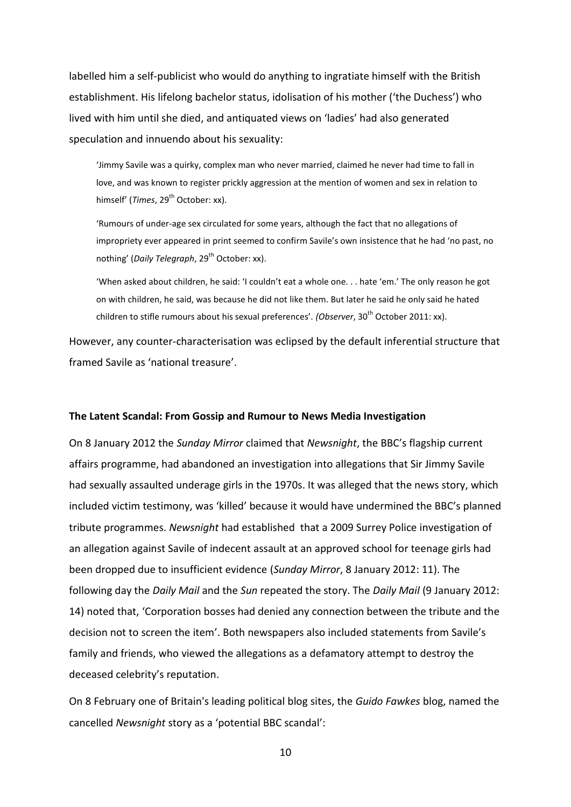labelled him a self-publicist who would do anything to ingratiate himself with the British establishment. His lifelong bachelor status, idolisation of his mother ('the Duchess') who lived with him until she died, and antiquated views on 'ladies' had also generated speculation and innuendo about his sexuality:

'Jimmy Savile was a quirky, complex man who never married, claimed he never had time to fall in love, and was known to register prickly aggression at the mention of women and sex in relation to himself' (Times, 29<sup>th</sup> October: xx).

'Rumours of under-age sex circulated for some years, although the fact that no allegations of impropriety ever appeared in print seemed to confirm Savile's own insistence that he had 'no past, no nothing' (Daily Telegraph, 29<sup>th</sup> October: xx).

'When asked about children, he said: 'I couldn't eat a whole one. . . hate 'em.' The only reason he got on with children, he said, was because he did not like them. But later he said he only said he hated children to stifle rumours about his sexual preferences'. (Observer, 30<sup>th</sup> October 2011: xx).

However, any counter-characterisation was eclipsed by the default inferential structure that framed Savile as 'national treasure'.

#### The Latent Scandal: From Gossip and Rumour to News Media Investigation

On 8 January 2012 the Sunday Mirror claimed that Newsnight, the BBC's flagship current affairs programme, had abandoned an investigation into allegations that Sir Jimmy Savile had sexually assaulted underage girls in the 1970s. It was alleged that the news story, which included victim testimony, was 'killed' because it would have undermined the BBC's planned tribute programmes. Newsnight had established that a 2009 Surrey Police investigation of an allegation against Savile of indecent assault at an approved school for teenage girls had been dropped due to insufficient evidence (Sunday Mirror, 8 January 2012: 11). The following day the Daily Mail and the Sun repeated the story. The Daily Mail (9 January 2012: 14) noted that, 'Corporation bosses had denied any connection between the tribute and the decision not to screen the item'. Both newspapers also included statements from Savile's family and friends, who viewed the allegations as a defamatory attempt to destroy the deceased celebrity's reputation.

On 8 February one of Britain's leading political blog sites, the Guido Fawkes blog, named the cancelled Newsnight story as a 'potential BBC scandal':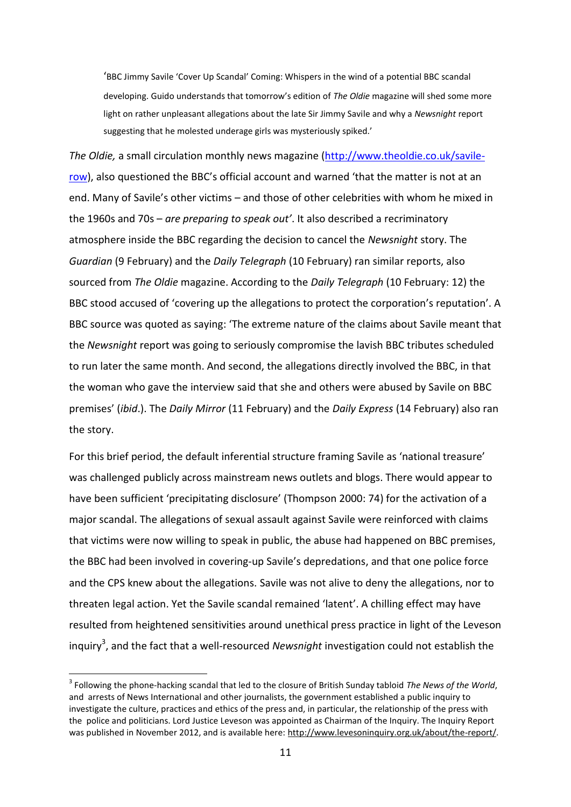'BBC Jimmy Savile 'Cover Up Scandal' Coming: Whispers in the wind of a potential BBC scandal developing. Guido understands that tomorrow's edition of The Oldie magazine will shed some more light on rather unpleasant allegations about the late Sir Jimmy Savile and why a Newsnight report suggesting that he molested underage girls was mysteriously spiked.'

The Oldie, a small circulation monthly news magazine (http://www.theoldie.co.uk/savilerow), also questioned the BBC's official account and warned 'that the matter is not at an end. Many of Savile's other victims - and those of other celebrities with whom he mixed in the 1960s and 70s – are preparing to speak out'. It also described a recriminatory atmosphere inside the BBC regarding the decision to cancel the Newsnight story. The Guardian (9 February) and the Daily Telegraph (10 February) ran similar reports, also sourced from The Oldie magazine. According to the Daily Telegraph (10 February: 12) the BBC stood accused of 'covering up the allegations to protect the corporation's reputation'. A BBC source was quoted as saying: 'The extreme nature of the claims about Savile meant that the Newsnight report was going to seriously compromise the lavish BBC tributes scheduled to run later the same month. And second, the allegations directly involved the BBC, in that the woman who gave the interview said that she and others were abused by Savile on BBC premises' (ibid.). The Daily Mirror (11 February) and the Daily Express (14 February) also ran the story.

For this brief period, the default inferential structure framing Savile as 'national treasure' was challenged publicly across mainstream news outlets and blogs. There would appear to have been sufficient 'precipitating disclosure' (Thompson 2000: 74) for the activation of a major scandal. The allegations of sexual assault against Savile were reinforced with claims that victims were now willing to speak in public, the abuse had happened on BBC premises, the BBC had been involved in covering-up Savile's depredations, and that one police force and the CPS knew about the allegations. Savile was not alive to deny the allegations, nor to threaten legal action. Yet the Savile scandal remained 'latent'. A chilling effect may have resulted from heightened sensitivities around unethical press practice in light of the Leveson inguiry<sup>3</sup>, and the fact that a well-resourced Newsnight investigation could not establish the

<sup>&</sup>lt;sup>3</sup> Following the phone-hacking scandal that led to the closure of British Sunday tabloid The News of the World, and arrests of News International and other journalists, the government established a public inquiry to investigate the culture, practices and ethics of the press and, in particular, the relationship of the press with the police and politicians. Lord Justice Leveson was appointed as Chairman of the Inguiry. The Inguiry Report was published in November 2012, and is available here: http://www.levesoninguiry.org.uk/about/the-report/.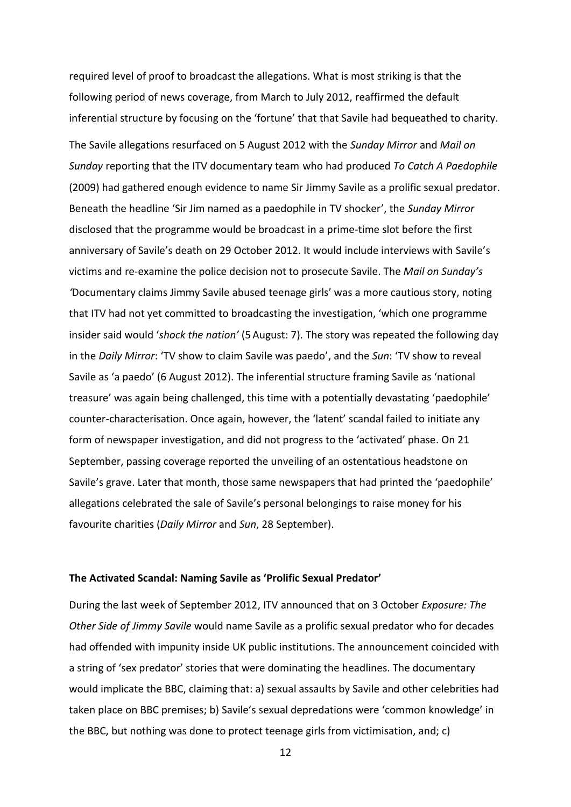required level of proof to broadcast the allegations. What is most striking is that the following period of news coverage, from March to July 2012, reaffirmed the default inferential structure by focusing on the 'fortune' that that Savile had bequeathed to charity.

The Savile allegations resurfaced on 5 August 2012 with the *Sunday Mirror* and *Mail on Sunday* reporting that the ITV documentary team who had produced *To Catch A Paedophile* (2009) had gathered enough evidence to name Sir Jimmy Savile as a prolific sexual predator. Beneath the headline 'Sir Jim named as a paedophile in TV shocker', the *Sunday Mirror* disclosed that the programme would be broadcast in a prime-time slot before the first anniversary of Savile's death on 29 October 2012. It would include interviews with Savile's victims and re-examine the police decision not to prosecute Savile. The *Mail on Sunday͛s Documentary claims Jimmy Savile abused teenage girls' was a more cautious story, noting* that ITV had not yet committed to broadcasting the investigation, 'which one programme insider said would 'shock the nation' (5 August: 7). The story was repeated the following day in the *Daily Mirror*: 'TV show to claim Savile was paedo', and the *Sun*: 'TV show to reveal Savile as 'a paedo' (6 August 2012). The inferential structure framing Savile as 'national treasure' was again being challenged, this time with a potentially devastating 'paedophile' counter-characterisation. Once again, however, the 'latent' scandal failed to initiate any form of newspaper investigation, and did not progress to the 'activated' phase. On 21 September, passing coverage reported the unveiling of an ostentatious headstone on Savile's grave. Later that month, those same newspapers that had printed the 'paedophile' allegations celebrated the sale of Savile's personal belongings to raise money for his favourite charities (*Daily Mirror* and *Sun*, 28 September).

#### **The Activated Scandal: Naming Savile as 'Prolific Sexual Predator'**

During the last week of September 2012, ITV announced that on 3 October *Exposure: The Other Side of Jimmy Savile* would name Savile as a prolific sexual predator who for decades had offended with impunity inside UK public institutions. The announcement coincided with a string of 'sex predator' stories that were dominating the headlines. The documentary would implicate the BBC, claiming that: a) sexual assaults by Savile and other celebrities had taken place on BBC premises; b) Savile's sexual depredations were 'common knowledge' in the BBC, but nothing was done to protect teenage girls from victimisation, and; c)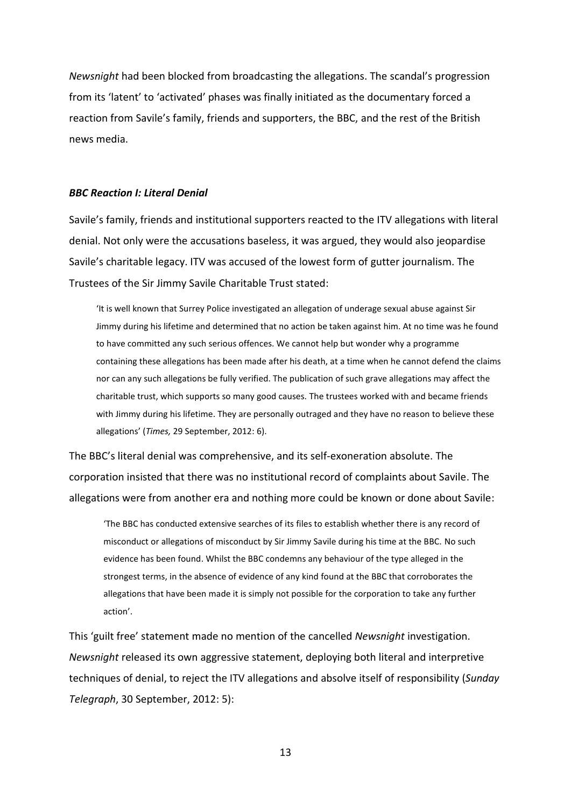*Newsnight* had been blocked from broadcasting the allegations. The scandal's progression from its 'latent' to 'activated' phases was finally initiated as the documentary forced a reaction from Savile's family, friends and supporters, the BBC, and the rest of the British news media.

#### *BBC Reaction I: Literal Denial*

Savile's family, friends and institutional supporters reacted to the ITV allegations with literal denial. Not only were the accusations baseless, it was argued, they would also jeopardise Savile's charitable legacy. ITV was accused of the lowest form of gutter journalism. The Trustees of the Sir Jimmy Savile Charitable Trust stated:

'It is well known that Surrey Police investigated an allegation of underage sexual abuse against Sir Jimmy during his lifetime and determined that no action be taken against him. At no time was he found to have committed any such serious offences. We cannot help but wonder why a programme containing these allegations has been made after his death, at a time when he cannot defend the claims nor can any such allegations be fully verified. The publication of such grave allegations may affect the charitable trust, which supports so many good causes. The trustees worked with and became friends with Jimmy during his lifetime. They are personally outraged and they have no reason to believe these allegations͛ (*Times,* 29 September, 2012: 6).

The BBC's literal denial was comprehensive, and its self-exoneration absolute. The corporation insisted that there was no institutional record of complaints about Savile. The allegations were from another era and nothing more could be known or done about Savile:

͚The BBC has conducted extensive searches of its files to establish whether there is any record of misconduct or allegations of misconduct by Sir Jimmy Savile during his time at the BBC. No such evidence has been found. Whilst the BBC condemns any behaviour of the type alleged in the strongest terms, in the absence of evidence of any kind found at the BBC that corroborates the allegations that have been made it is simply not possible for the corporation to take any further action'.

This 'guilt free' statement made no mention of the cancelled *Newsnight* investigation. *Newsnight* released its own aggressive statement, deploying both literal and interpretive techniques of denial, to reject the ITV allegations and absolve itself of responsibility (*Sunday Telegraph*, 30 September, 2012: 5):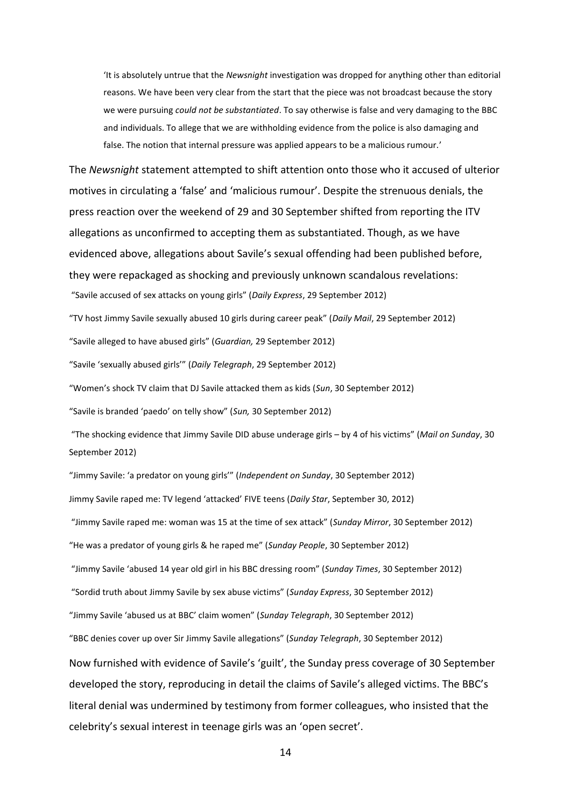'It is absolutely untrue that the Newsnight investigation was dropped for anything other than editorial reasons. We have been very clear from the start that the piece was not broadcast because the story we were pursuing could not be substantiated. To say otherwise is false and very damaging to the BBC and individuals. To allege that we are withholding evidence from the police is also damaging and false. The notion that internal pressure was applied appears to be a malicious rumour.'

The Newsnight statement attempted to shift attention onto those who it accused of ulterior motives in circulating a 'false' and 'malicious rumour'. Despite the strenuous denials, the press reaction over the weekend of 29 and 30 September shifted from reporting the ITV allegations as unconfirmed to accepting them as substantiated. Though, as we have evidenced above, allegations about Savile's sexual offending had been published before, they were repackaged as shocking and previously unknown scandalous revelations: "Savile accused of sex attacks on young girls" (Daily Express, 29 September 2012)

"TV host Jimmy Savile sexually abused 10 girls during career peak" (Daily Mail, 29 September 2012)

"Savile alleged to have abused girls" (Guardian, 29 September 2012)

"Savile 'sexually abused girls'" (Daily Telegraph, 29 September 2012)

"Women's shock TV claim that DJ Savile attacked them as kids (Sun, 30 September 2012)

"Savile is branded 'paedo' on telly show" (Sun, 30 September 2012)

"The shocking evidence that Jimmy Savile DID abuse underage girls - by 4 of his victims" (Mail on Sunday, 30) September 2012)

"Jimmy Savile: 'a predator on young girls'" (Independent on Sunday, 30 September 2012)

Jimmy Savile raped me: TV legend 'attacked' FIVE teens (Daily Star, September 30, 2012)

"Jimmy Savile raped me: woman was 15 at the time of sex attack" (Sunday Mirror, 30 September 2012)

"He was a predator of young girls & he raped me" (Sunday People, 30 September 2012)

"Jimmy Savile 'abused 14 year old girl in his BBC dressing room" (Sunday Times, 30 September 2012)

"Sordid truth about Jimmy Savile by sex abuse victims" (Sunday Express, 30 September 2012)

"Jimmy Savile 'abused us at BBC' claim women" (Sunday Telegraph, 30 September 2012)

"BBC denies cover up over Sir Jimmy Savile allegations" (Sunday Telegraph, 30 September 2012)

Now furnished with evidence of Savile's 'guilt', the Sunday press coverage of 30 September developed the story, reproducing in detail the claims of Savile's alleged victims. The BBC's literal denial was undermined by testimony from former colleagues, who insisted that the celebrity's sexual interest in teenage girls was an 'open secret'.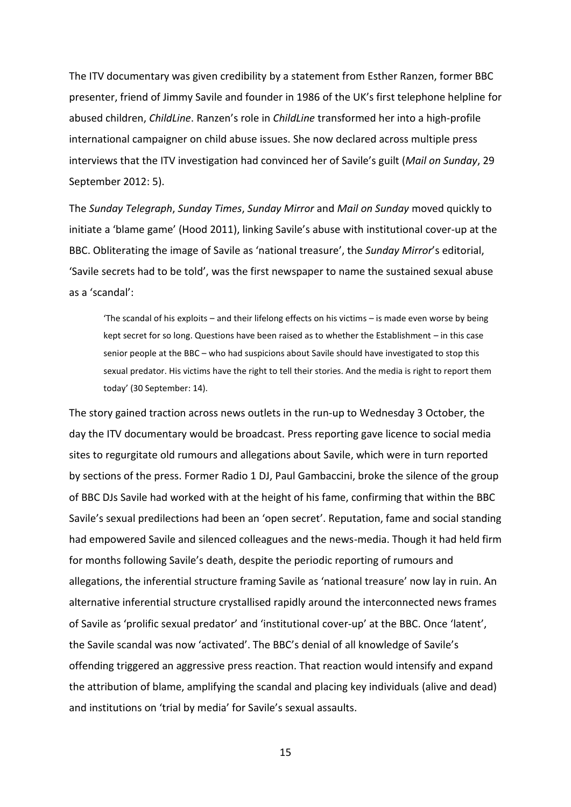The ITV documentary was given credibility by a statement from Esther Ranzen, former BBC presenter, friend of Jimmy Savile and founder in 1986 of the UK's first telephone helpline for abused children, ChildLine. Ranzen's role in ChildLine transformed her into a high-profile international campaigner on child abuse issues. She now declared across multiple press interviews that the ITV investigation had convinced her of Savile's guilt (Mail on Sunday, 29 September 2012: 5).

The Sunday Telegraph, Sunday Times, Sunday Mirror and Mail on Sunday moved quickly to initiate a 'blame game' (Hood 2011), linking Savile's abuse with institutional cover-up at the BBC. Obliterating the image of Savile as 'national treasure', the Sunday Mirror's editorial, 'Savile secrets had to be told', was the first newspaper to name the sustained sexual abuse as a 'scandal':

'The scandal of his exploits - and their lifelong effects on his victims - is made even worse by being kept secret for so long. Questions have been raised as to whether the Establishment - in this case senior people at the BBC - who had suspicions about Savile should have investigated to stop this sexual predator. His victims have the right to tell their stories. And the media is right to report them today' (30 September: 14).

The story gained traction across news outlets in the run-up to Wednesday 3 October, the day the ITV documentary would be broadcast. Press reporting gave licence to social media sites to regurgitate old rumours and allegations about Savile, which were in turn reported by sections of the press. Former Radio 1 DJ, Paul Gambaccini, broke the silence of the group of BBC DJs Savile had worked with at the height of his fame, confirming that within the BBC Savile's sexual predilections had been an 'open secret'. Reputation, fame and social standing had empowered Savile and silenced colleagues and the news-media. Though it had held firm for months following Savile's death, despite the periodic reporting of rumours and allegations, the inferential structure framing Savile as 'national treasure' now lay in ruin. An alternative inferential structure crystallised rapidly around the interconnected news frames of Savile as 'prolific sexual predator' and 'institutional cover-up' at the BBC. Once 'latent', the Savile scandal was now 'activated'. The BBC's denial of all knowledge of Savile's offending triggered an aggressive press reaction. That reaction would intensify and expand the attribution of blame, amplifying the scandal and placing key individuals (alive and dead) and institutions on 'trial by media' for Savile's sexual assaults.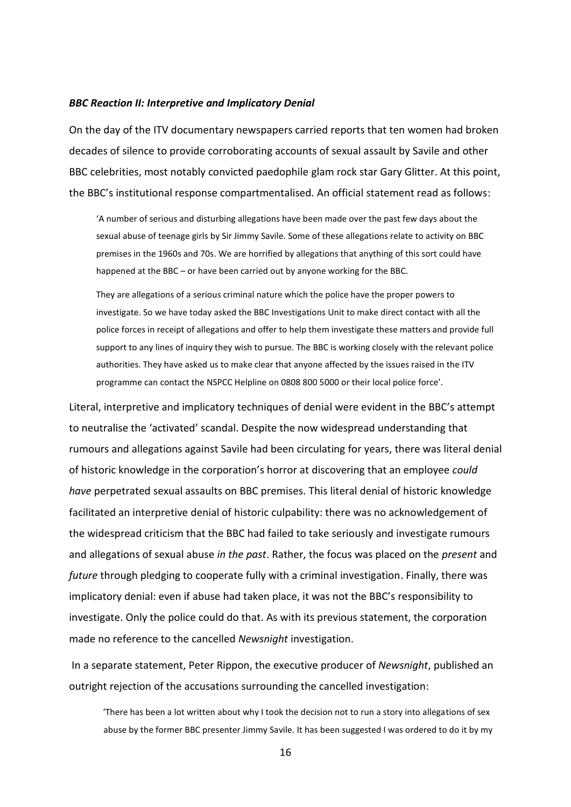#### **BBC Reaction II: Interpretive and Implicatory Denial**

On the day of the ITV documentary newspapers carried reports that ten women had broken decades of silence to provide corroborating accounts of sexual assault by Savile and other BBC celebrities, most notably convicted paedophile glam rock star Gary Glitter. At this point, the BBC's institutional response compartmentalised. An official statement read as follows:

'A number of serious and disturbing allegations have been made over the past few days about the sexual abuse of teenage girls by Sir Jimmy Savile. Some of these allegations relate to activity on BBC premises in the 1960s and 70s. We are horrified by allegations that anything of this sort could have happened at the BBC – or have been carried out by anyone working for the BBC.

They are allegations of a serious criminal nature which the police have the proper powers to investigate. So we have today asked the BBC Investigations Unit to make direct contact with all the police forces in receipt of allegations and offer to help them investigate these matters and provide full support to any lines of inquiry they wish to pursue. The BBC is working closely with the relevant police authorities. They have asked us to make clear that anyone affected by the issues raised in the ITV programme can contact the NSPCC Helpline on 0808 800 5000 or their local police force'.

Literal, interpretive and implicatory techniques of denial were evident in the BBC's attempt to neutralise the 'activated' scandal. Despite the now widespread understanding that rumours and allegations against Savile had been circulating for years, there was literal denial of historic knowledge in the corporation's horror at discovering that an employee could have perpetrated sexual assaults on BBC premises. This literal denial of historic knowledge facilitated an interpretive denial of historic culpability: there was no acknowledgement of the widespread criticism that the BBC had failed to take seriously and investigate rumours and allegations of sexual abuse in the past. Rather, the focus was placed on the present and future through pledging to cooperate fully with a criminal investigation. Finally, there was implicatory denial: even if abuse had taken place, it was not the BBC's responsibility to investigate. Only the police could do that. As with its previous statement, the corporation made no reference to the cancelled Newsnight investigation.

In a separate statement, Peter Rippon, the executive producer of Newsnight, published an outright rejection of the accusations surrounding the cancelled investigation:

'There has been a lot written about why I took the decision not to run a story into allegations of sex abuse by the former BBC presenter Jimmy Savile. It has been suggested I was ordered to do it by my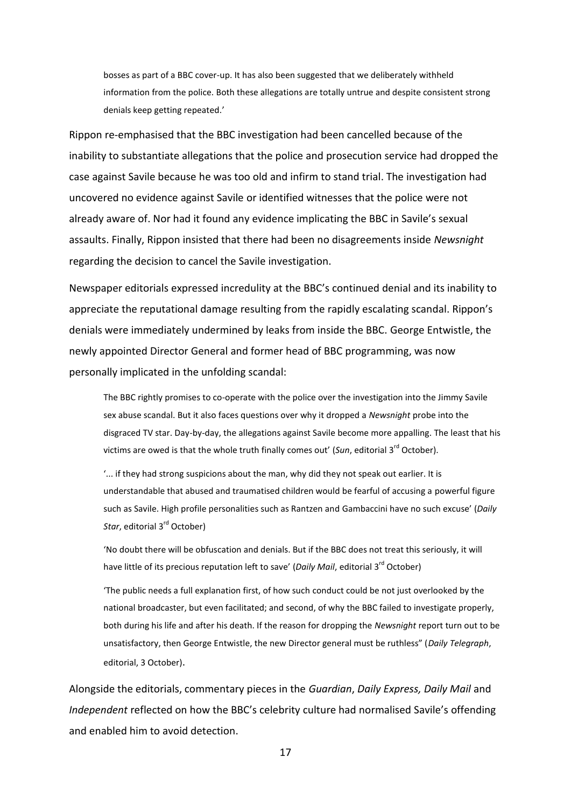bosses as part of a BBC cover-up. It has also been suggested that we deliberately withheld information from the police. Both these allegations are totally untrue and despite consistent strong denials keep getting repeated.'

Rippon re-emphasised that the BBC investigation had been cancelled because of the inability to substantiate allegations that the police and prosecution service had dropped the case against Savile because he was too old and infirm to stand trial. The investigation had uncovered no evidence against Savile or identified witnesses that the police were not already aware of. Nor had it found any evidence implicating the BBC in Savile's sexual assaults. Finally, Rippon insisted that there had been no disagreements inside *Newsnight* regarding the decision to cancel the Savile investigation.

Newspaper editorials expressed incredulity at the BBC's continued denial and its inability to appreciate the reputational damage resulting from the rapidly escalating scandal. Rippon's denials were immediately undermined by leaks from inside the BBC. George Entwistle, the newly appointed Director General and former head of BBC programming, was now personally implicated in the unfolding scandal:

The BBC rightly promises to co-operate with the police over the investigation into the Jimmy Savile sex abuse scandal. But it also faces questions over why it dropped a *Newsnight* probe into the disgraced TV star. Day-by-day, the allegations against Savile become more appalling. The least that his victims are owed is that the whole truth finally comes out' (*Sun*, editorial 3<sup>rd</sup> October).

͚... if they had strong suspicions about the man, why did they not speak out earlier. It is understandable that abused and traumatised children would be fearful of accusing a powerful figure such as Savile. High profile personalities such as Rantzen and Gambaccini have no such excuse' (Daily Star, editorial 3<sup>rd</sup> October)

͚No doubt there will be obfuscation and denials. But if the BBC does not treat this seriously, it will have little of its precious reputation left to save' (Daily Mail, editorial 3<sup>rd</sup> October)

͚The public needs a full explanation first, of how such conduct could be not just overlooked by the national broadcaster, but even facilitated; and second, of why the BBC failed to investigate properly, both during his life and after his death. If the reason for dropping the *Newsnight* report turn out to be unsatisfactory, then George Entwistle, the new Director general must be ruthless" (Daily Telegraph, editorial, 3 October).

Alongside the editorials, commentary pieces in the *Guardian*, *Daily Express, Daily Mail* and *Independent* reflected on how the BBC's celebrity culture had normalised Savile's offending and enabled him to avoid detection.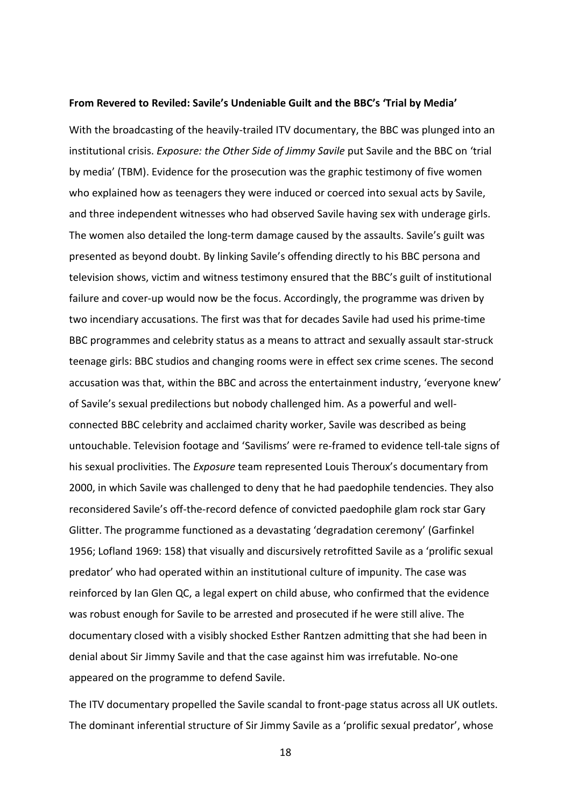#### **From Revered to Reviled: Savile's Undeniable Guilt and the BBC's 'Trial by Media'**

With the broadcasting of the heavily-trailed ITV documentary, the BBC was plunged into an institutional crisis. *Exposure: the Other Side of Jimmy Savile* put Savile and the BBC on 'trial by media' (TBM). Evidence for the prosecution was the graphic testimony of five women who explained how as teenagers they were induced or coerced into sexual acts by Savile, and three independent witnesses who had observed Savile having sex with underage girls. The women also detailed the long-term damage caused by the assaults. Savile's guilt was presented as beyond doubt. By linking Savile's offending directly to his BBC persona and television shows, victim and witness testimony ensured that the BBC's guilt of institutional failure and cover-up would now be the focus. Accordingly, the programme was driven by two incendiary accusations. The first was that for decades Savile had used his prime-time BBC programmes and celebrity status as a means to attract and sexually assault star-struck teenage girls: BBC studios and changing rooms were in effect sex crime scenes. The second accusation was that, within the BBC and across the entertainment industry, 'everyone knew' of Savile's sexual predilections but nobody challenged him. As a powerful and wellconnected BBC celebrity and acclaimed charity worker, Savile was described as being untouchable. Television footage and 'Savilisms' were re-framed to evidence tell-tale signs of his sexual proclivities. The *Exposure* team represented Louis Theroux's documentary from 2000, in which Savile was challenged to deny that he had paedophile tendencies. They also reconsidered Savile's off-the-record defence of convicted paedophile glam rock star Gary Glitter. The programme functioned as a devastating 'degradation ceremony' (Garfinkel [1956;](#page-24-21) [Lofland 1969: 158\)](#page-24-22) that visually and discursively retrofitted Savile as a 'prolific sexual predator' who had operated within an institutional culture of impunity. The case was reinforced by Ian Glen QC, a legal expert on child abuse, who confirmed that the evidence was robust enough for Savile to be arrested and prosecuted if he were still alive. The documentary closed with a visibly shocked Esther Rantzen admitting that she had been in denial about Sir Jimmy Savile and that the case against him was irrefutable. No-one appeared on the programme to defend Savile.

The ITV documentary propelled the Savile scandal to front-page status across all UK outlets. The dominant inferential structure of Sir Jimmy Savile as a 'prolific sexual predator', whose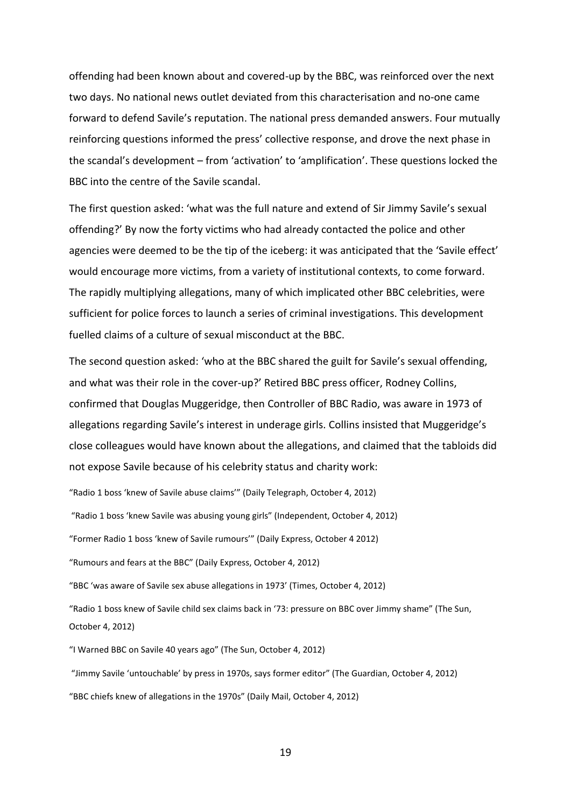offending had been known about and covered-up by the BBC, was reinforced over the next two days. No national news outlet deviated from this characterisation and no-one came forward to defend Savile's reputation. The national press demanded answers. Four mutually reinforcing questions informed the press' collective response, and drove the next phase in the scandal's development – from 'activation' to 'amplification'. These questions locked the BBC into the centre of the Savile scandal.

The first question asked: 'what was the full nature and extend of Sir Jimmy Savile's sexual offending?' By now the forty victims who had already contacted the police and other agencies were deemed to be the tip of the iceberg: it was anticipated that the 'Savile effect' would encourage more victims, from a variety of institutional contexts, to come forward. The rapidly multiplying allegations, many of which implicated other BBC celebrities, were sufficient for police forces to launch a series of criminal investigations. This development fuelled claims of a culture of sexual misconduct at the BBC.

The second question asked: 'who at the BBC shared the guilt for Savile's sexual offending, and what was their role in the cover-up?' Retired BBC press officer, Rodney Collins, confirmed that Douglas Muggeridge, then Controller of BBC Radio, was aware in 1973 of allegations regarding Savile's interest in underage girls. Collins insisted that Muggeridge's close colleagues would have known about the allegations, and claimed that the tabloids did not expose Savile because of his celebrity status and charity work:

"Radio 1 boss 'knew of Savile abuse claims'" (Daily Telegraph, October 4, 2012)

"Radio 1 boss 'knew Savile was abusing young girls" (Independent, October 4, 2012)

"Former Radio 1 boss 'knew of Savile rumours'" (Daily Express, October 4 2012)

"Rumours and fears at the BBC" (Daily Express, October 4, 2012)

"BBC 'was aware of Savile sex abuse allegations in 1973' (Times, October 4, 2012)

"Radio 1 boss knew of Savile child sex claims back in '73: pressure on BBC over Jimmy shame" (The Sun, October 4, 2012)

"I Warned BBC on Savile 40 years ago" (The Sun, October 4, 2012)

"Jimmy Savile 'untouchable' by press in 1970s, says former editor" (The Guardian, October 4, 2012)

"BBC chiefs knew of allegations in the 1970s" (Daily Mail, October 4, 2012)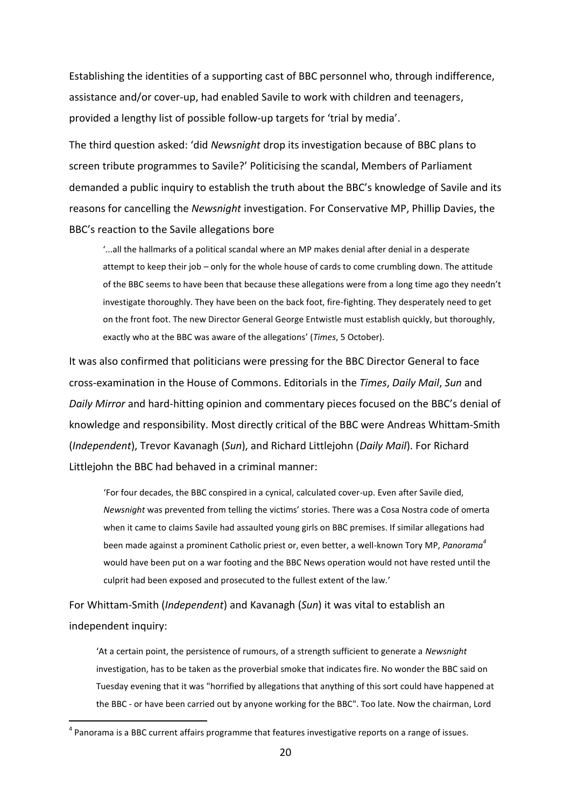Establishing the identities of a supporting cast of BBC personnel who, through indifference, assistance and/or cover-up, had enabled Savile to work with children and teenagers, provided a lengthy list of possible follow-up targets for 'trial by media'.

The third question asked: 'did Newsnight drop its investigation because of BBC plans to screen tribute programmes to Savile?' Politicising the scandal, Members of Parliament demanded a public inquiry to establish the truth about the BBC's knowledge of Savile and its reasons for cancelling the Newsnight investigation. For Conservative MP, Phillip Davies, the BBC's reaction to the Savile allegations bore

'...all the hallmarks of a political scandal where an MP makes denial after denial in a desperate attempt to keep their job - only for the whole house of cards to come crumbling down. The attitude of the BBC seems to have been that because these allegations were from a long time ago they needn't investigate thoroughly. They have been on the back foot, fire-fighting. They desperately need to get on the front foot. The new Director General George Entwistle must establish quickly, but thoroughly, exactly who at the BBC was aware of the allegations' (Times, 5 October).

It was also confirmed that politicians were pressing for the BBC Director General to face cross-examination in the House of Commons. Editorials in the Times, Daily Mail, Sun and Daily Mirror and hard-hitting opinion and commentary pieces focused on the BBC's denial of knowledge and responsibility. Most directly critical of the BBC were Andreas Whittam-Smith (Independent), Trevor Kavanagh (Sun), and Richard Littlejohn (Daily Mail). For Richard Littlejohn the BBC had behaved in a criminal manner:

'For four decades, the BBC conspired in a cynical, calculated cover-up. Even after Savile died, Newsnight was prevented from telling the victims' stories. There was a Cosa Nostra code of omerta when it came to claims Savile had assaulted young girls on BBC premises. If similar allegations had been made against a prominent Catholic priest or, even better, a well-known Tory MP, Panorama<sup>4</sup> would have been put on a war footing and the BBC News operation would not have rested until the culprit had been exposed and prosecuted to the fullest extent of the law.'

For Whittam-Smith (Independent) and Kavanagh (Sun) it was vital to establish an independent inquiry:

'At a certain point, the persistence of rumours, of a strength sufficient to generate a Newsnight investigation, has to be taken as the proverbial smoke that indicates fire. No wonder the BBC said on Tuesday evening that it was "horrified by allegations that anything of this sort could have happened at the BBC - or have been carried out by anyone working for the BBC". Too late. Now the chairman, Lord

 $4$  Panorama is a BBC current affairs programme that features investigative reports on a range of issues.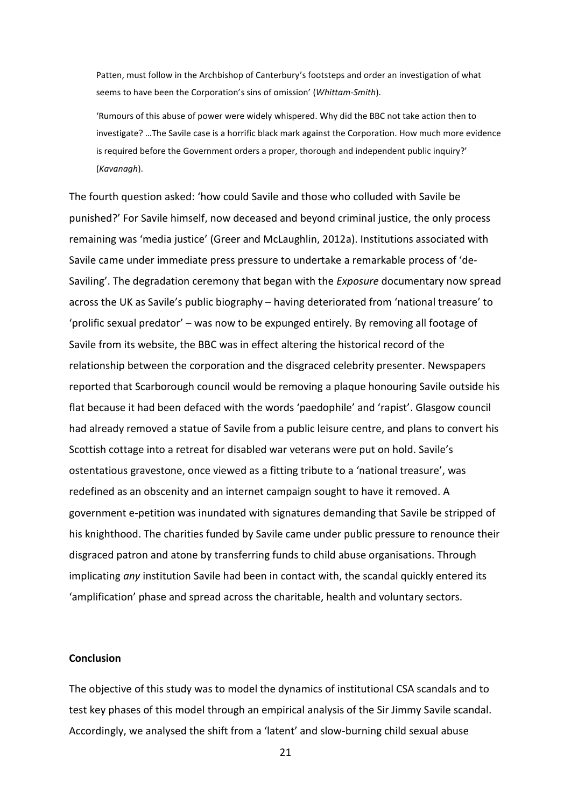Patten, must follow in the Archbishop of Canterbury's footsteps and order an investigation of what seems to have been the Corporation's sins of omission' (Whittam-Smith).

'Rumours of this abuse of power were widely whispered. Why did the BBC not take action then to investigate? ...The Savile case is a horrific black mark against the Corporation. How much more evidence is required before the Government orders a proper, thorough and independent public inquiry?' (Kavanagh).

The fourth question asked: 'how could Savile and those who colluded with Savile be punished?' For Savile himself, now deceased and beyond criminal justice, the only process remaining was 'media justice' (Greer and McLaughlin, 2012a). Institutions associated with Savile came under immediate press pressure to undertake a remarkable process of 'de-Saviling'. The degradation ceremony that began with the *Exposure* documentary now spread across the UK as Savile's public biography – having deteriorated from 'national treasure' to 'prolific sexual predator' - was now to be expunged entirely. By removing all footage of Savile from its website, the BBC was in effect altering the historical record of the relationship between the corporation and the disgraced celebrity presenter. Newspapers reported that Scarborough council would be removing a plaque honouring Savile outside his flat because it had been defaced with the words 'paedophile' and 'rapist'. Glasgow council had already removed a statue of Savile from a public leisure centre, and plans to convert his Scottish cottage into a retreat for disabled war veterans were put on hold. Savile's ostentatious gravestone, once viewed as a fitting tribute to a 'national treasure', was redefined as an obscenity and an internet campaign sought to have it removed. A government e-petition was inundated with signatures demanding that Savile be stripped of his knighthood. The charities funded by Savile came under public pressure to renounce their disgraced patron and atone by transferring funds to child abuse organisations. Through implicating any institution Savile had been in contact with, the scandal quickly entered its 'amplification' phase and spread across the charitable, health and voluntary sectors.

## **Conclusion**

The objective of this study was to model the dynamics of institutional CSA scandals and to test key phases of this model through an empirical analysis of the Sir Jimmy Savile scandal. Accordingly, we analysed the shift from a 'latent' and slow-burning child sexual abuse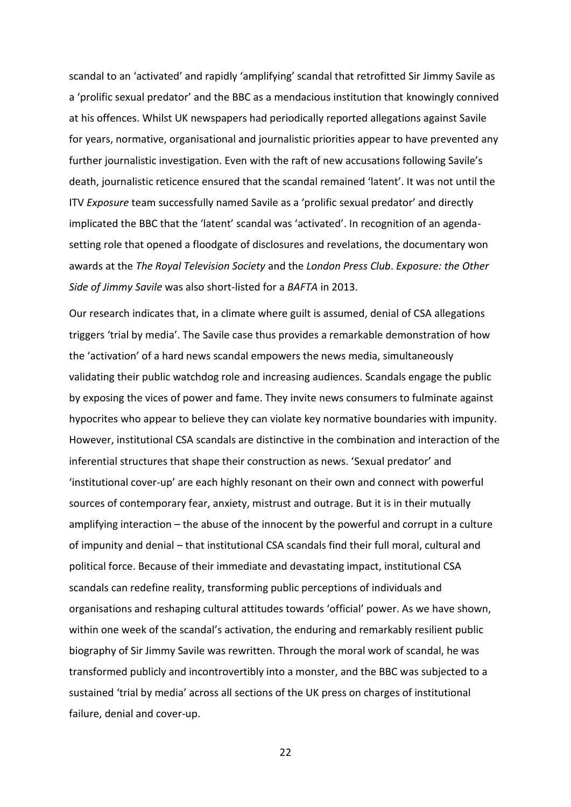scandal to an 'activated' and rapidly 'amplifying' scandal that retrofitted Sir Jimmy Savile as a 'prolific sexual predator' and the BBC as a mendacious institution that knowingly connived at his offences. Whilst UK newspapers had periodically reported allegations against Savile for years, normative, organisational and journalistic priorities appear to have prevented any further journalistic investigation. Even with the raft of new accusations following Savile's death, journalistic reticence ensured that the scandal remained 'latent'. It was not until the ITV Exposure team successfully named Savile as a 'prolific sexual predator' and directly implicated the BBC that the 'latent' scandal was 'activated'. In recognition of an agendasetting role that opened a floodgate of disclosures and revelations, the documentary won awards at the The Royal Television Society and the London Press Club. Exposure: the Other Side of Jimmy Savile was also short-listed for a BAFTA in 2013.

Our research indicates that, in a climate where guilt is assumed, denial of CSA allegations triggers 'trial by media'. The Savile case thus provides a remarkable demonstration of how the 'activation' of a hard news scandal empowers the news media, simultaneously validating their public watchdog role and increasing audiences. Scandals engage the public by exposing the vices of power and fame. They invite news consumers to fulminate against hypocrites who appear to believe they can violate key normative boundaries with impunity. However, institutional CSA scandals are distinctive in the combination and interaction of the inferential structures that shape their construction as news. 'Sexual predator' and 'institutional cover-up' are each highly resonant on their own and connect with powerful sources of contemporary fear, anxiety, mistrust and outrage. But it is in their mutually amplifying interaction – the abuse of the innocent by the powerful and corrupt in a culture of impunity and denial – that institutional CSA scandals find their full moral, cultural and political force. Because of their immediate and devastating impact, institutional CSA scandals can redefine reality, transforming public perceptions of individuals and organisations and reshaping cultural attitudes towards 'official' power. As we have shown, within one week of the scandal's activation, the enduring and remarkably resilient public biography of Sir Jimmy Savile was rewritten. Through the moral work of scandal, he was transformed publicly and incontrovertibly into a monster, and the BBC was subjected to a sustained 'trial by media' across all sections of the UK press on charges of institutional failure, denial and cover-up.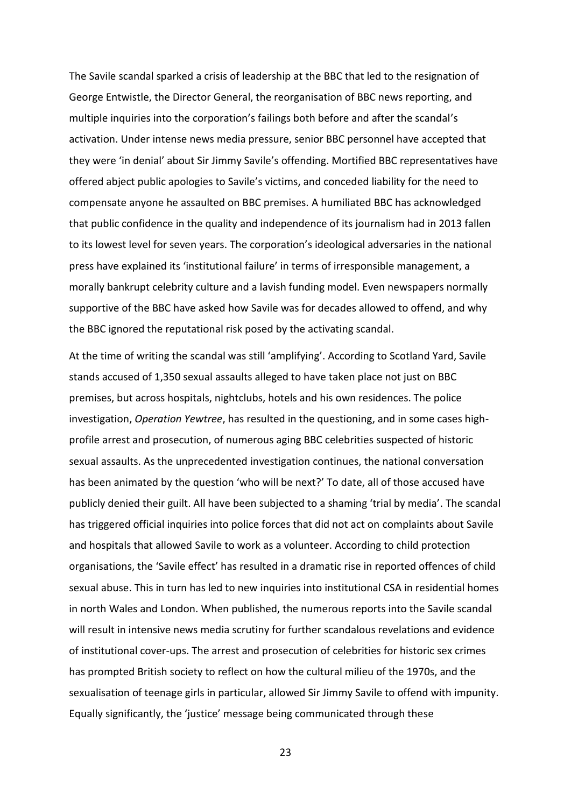The Savile scandal sparked a crisis of leadership at the BBC that led to the resignation of George Entwistle, the Director General, the reorganisation of BBC news reporting, and multiple inquiries into the corporation's failings both before and after the scandal's activation. Under intense news media pressure, senior BBC personnel have accepted that they were 'in denial' about Sir Jimmy Savile's offending. Mortified BBC representatives have offered abject public apologies to Savile's victims, and conceded liability for the need to compensate anyone he assaulted on BBC premises. A humiliated BBC has acknowledged that public confidence in the quality and independence of its journalism had in 2013 fallen to its lowest level for seven years. The corporation's ideological adversaries in the national press have explained its 'institutional failure' in terms of irresponsible management, a morally bankrupt celebrity culture and a lavish funding model. Even newspapers normally supportive of the BBC have asked how Savile was for decades allowed to offend, and why the BBC ignored the reputational risk posed by the activating scandal.

At the time of writing the scandal was still 'amplifying'. According to Scotland Yard, Savile stands accused of 1,350 sexual assaults alleged to have taken place not just on BBC premises, but across hospitals, nightclubs, hotels and his own residences. The police investigation, Operation Yewtree, has resulted in the questioning, and in some cases highprofile arrest and prosecution, of numerous aging BBC celebrities suspected of historic sexual assaults. As the unprecedented investigation continues, the national conversation has been animated by the question 'who will be next?' To date, all of those accused have publicly denied their guilt. All have been subjected to a shaming 'trial by media'. The scandal has triggered official inquiries into police forces that did not act on complaints about Savile and hospitals that allowed Savile to work as a volunteer. According to child protection organisations, the 'Savile effect' has resulted in a dramatic rise in reported offences of child sexual abuse. This in turn has led to new inquiries into institutional CSA in residential homes in north Wales and London. When published, the numerous reports into the Savile scandal will result in intensive news media scrutiny for further scandalous revelations and evidence of institutional cover-ups. The arrest and prosecution of celebrities for historic sex crimes has prompted British society to reflect on how the cultural milieu of the 1970s, and the sexualisation of teenage girls in particular, allowed Sir Jimmy Savile to offend with impunity. Equally significantly, the 'justice' message being communicated through these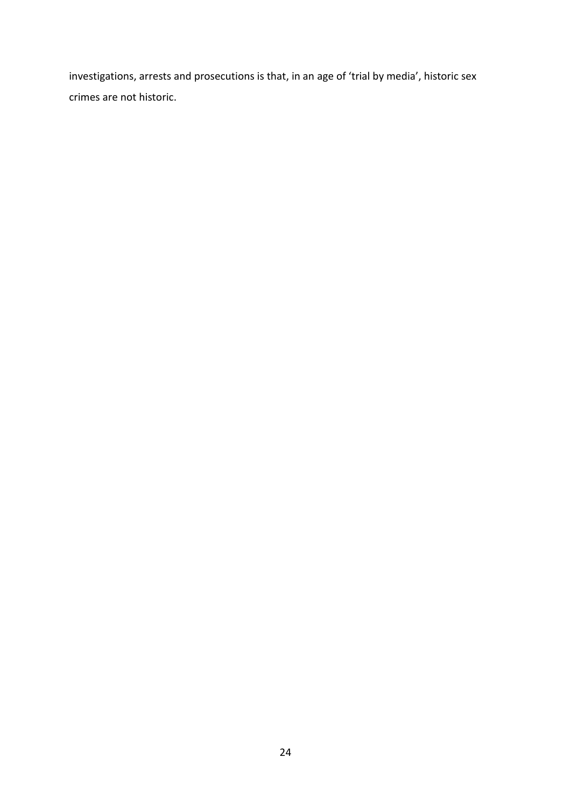<span id="page-23-22"></span><span id="page-23-21"></span><span id="page-23-20"></span><span id="page-23-19"></span><span id="page-23-18"></span><span id="page-23-17"></span><span id="page-23-16"></span><span id="page-23-15"></span><span id="page-23-14"></span><span id="page-23-13"></span><span id="page-23-12"></span><span id="page-23-11"></span><span id="page-23-10"></span><span id="page-23-9"></span><span id="page-23-8"></span><span id="page-23-7"></span><span id="page-23-6"></span><span id="page-23-5"></span><span id="page-23-4"></span><span id="page-23-3"></span><span id="page-23-2"></span><span id="page-23-1"></span><span id="page-23-0"></span>investigations, arrests and prosecutions is that, in an age of 'trial by media', historic sex crimes are not historic.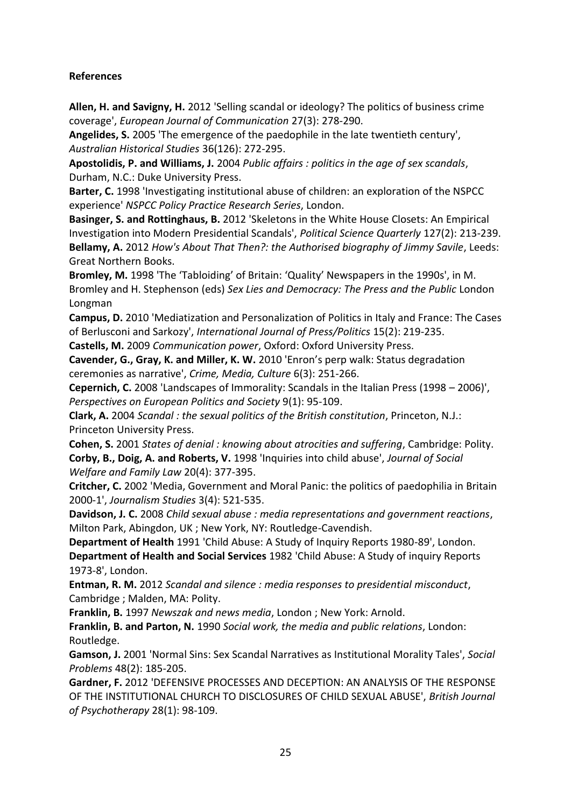## <span id="page-24-21"></span>**References**

<span id="page-24-0"></span>**Allen, H. and Savigny, H.** 2012 'Selling scandal or ideology? The politics of business crime coverage', *European Journal of Communication* 27(3): 278-290.

<span id="page-24-12"></span>**Angelides, S.** 2005 'The emergence of the paedophile in the late twentieth century', *Australian Historical Studies* 36(126): 272-295.

<span id="page-24-4"></span>**Apostolidis, P. and Williams, J.** 2004 *Public affairs : politics in the age of sex scandals*, Durham, N.C.: Duke University Press.

<span id="page-24-8"></span>**Barter, C.** 1998 'Investigating institutional abuse of children: an exploration of the NSPCC experience' *NSPCC Policy Practice Research Series*, London.

<span id="page-24-5"></span>**Basinger, S. and Rottinghaus, B.** 2012 'Skeletons in the White House Closets: An Empirical Investigation into Modern Presidential Scandals', *Political Science Quarterly* 127(2): 213-239. **Bellamy, A.** 2012 *How's About That Then?: the Authorised biography of Jimmy Savile*, Leeds: Great Northern Books.

<span id="page-24-9"></span><span id="page-24-6"></span>Bromley, M. 1998 'The 'Tabloiding' of Britain: 'Quality' Newspapers in the 1990s', in M. Bromley and H. Stephenson (eds) *Sex Lies and Democracy: The Press and the Public* London Longman

<span id="page-24-20"></span>**Campus, D.** 2010 'Mediatization and Personalization of Politics in Italy and France: The Cases of Berlusconi and Sarkozy', *International Journal of Press/Politics* 15(2): 219-235.

**Castells, M.** 2009 *Communication power*, Oxford: Oxford University Press.

<span id="page-24-16"></span>**Cavender, G., Gray, K. and Miller, K. W.** 2010 'Enron's perp walk: Status degradation ceremonies as narrative', *Crime, Media, Culture* 6(3): 251-266.

<span id="page-24-3"></span>**Cepernich, C.** 2008 'Landscapes of Immorality: Scandals in the Italian Press (1998 – 2006)', *Perspectives on European Politics and Society* 9(1): 95-109.

<span id="page-24-19"></span>**Clark, A.** 2004 *Scandal : the sexual politics of the British constitution*, Princeton, N.J.: Princeton University Press.

<span id="page-24-17"></span>**Cohen, S.** 2001 *States of denial : knowing about atrocities and suffering*, Cambridge: Polity. **Corby, B., Doig, A. and Roberts, V.** 1998 'Inquiries into child abuse', *Journal of Social Welfare and Family Law* 20(4): 377-395.

<span id="page-24-14"></span><span id="page-24-13"></span>**Critcher, C.** 2002 'Media, Government and Moral Panic: the politics of paedophilia in Britain 2000-1', *Journalism Studies* 3(4): 521-535.

<span id="page-24-10"></span>**Davidson, J. C.** 2008 *Child sexual abuse : media representations and government reactions*, Milton Park, Abingdon, UK ; New York, NY: Routledge-Cavendish.

<span id="page-24-15"></span>**Department of Health** 1991 'Child Abuse: A Study of Inquiry Reports 1980-89', London. **Department of Health and Social Services** 1982 'Child Abuse: A Study of inquiry Reports 1973-8', London.

<span id="page-24-7"></span>**Entman, R. M.** 2012 *Scandal and silence : media responses to presidential misconduct*, Cambridge ; Malden, MA: Polity.

<span id="page-24-22"></span>**Franklin, B.** 1997 *Newszak and news media*, London ; New York: Arnold.

<span id="page-24-1"></span>**Franklin, B. and Parton, N.** 1990 *Social work, the media and public relations*, London: Routledge.

<span id="page-24-2"></span>**Gamson, J.** 2001 'Normal Sins: Sex Scandal Narratives as Institutional Morality Tales', *Social Problems* 48(2): 185-205.

<span id="page-24-18"></span><span id="page-24-11"></span>**Gardner, F.** 2012 'DEFENSIVE PROCESSES AND DECEPTION: AN ANALYSIS OF THE RESPONSE OF THE INSTITUTIONAL CHURCH TO DISCLOSURES OF CHILD SEXUAL ABUSE', *British Journal of Psychotherapy* 28(1): 98-109.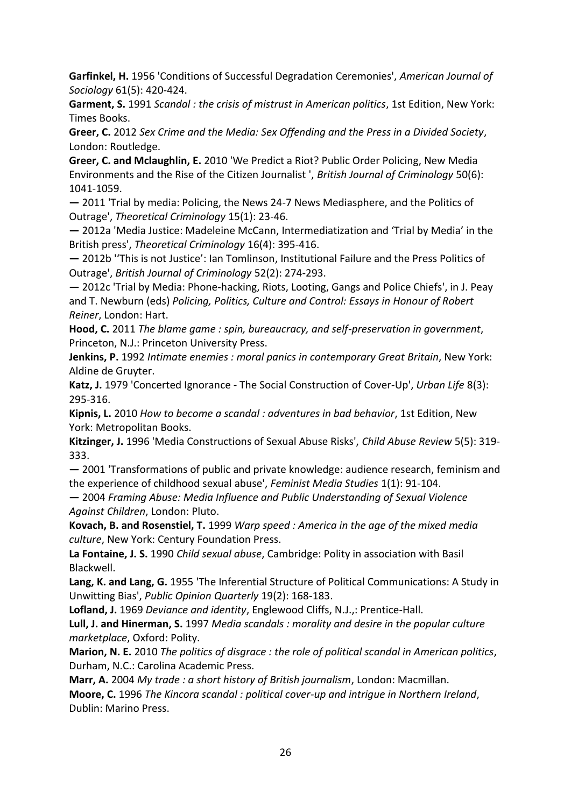<span id="page-25-10"></span>Garfinkel, H. 1956 'Conditions of Successful Degradation Ceremonies', American Journal of Sociology 61(5): 420-424.

<span id="page-25-0"></span>Garment, S. 1991 Scandal : the crisis of mistrust in American politics, 1st Edition, New York: Times Books.

<span id="page-25-13"></span>Greer, C. 2012 Sex Crime and the Media: Sex Offending and the Press in a Divided Society, London: Routledge.

<span id="page-25-1"></span>Greer, C. and Mclaughlin, E. 2010 'We Predict a Riot? Public Order Policing, New Media Environments and the Rise of the Citizen Journalist ', British Journal of Criminology 50(6): 1041-1059.

<span id="page-25-16"></span><span id="page-25-2"></span>- 2011 'Trial by media: Policing, the News 24-7 News Mediasphere, and the Politics of Outrage', Theoretical Criminology 15(1): 23-46.

<span id="page-25-11"></span>- 2012a 'Media Justice: Madeleine McCann, Intermediatization and 'Trial by Media' in the British press', Theoretical Criminology 16(4): 395-416.

<span id="page-25-7"></span>- 2012b "This is not Justice': Ian Tomlinson, Institutional Failure and the Press Politics of Outrage', British Journal of Criminology 52(2): 274-293.

<span id="page-25-14"></span>- 2012c 'Trial by Media: Phone-hacking, Riots, Looting, Gangs and Police Chiefs', in J. Peay and T. Newburn (eds) Policing, Politics, Culture and Control: Essays in Honour of Robert Reiner. London: Hart.

<span id="page-25-8"></span><span id="page-25-3"></span>Hood, C. 2011 The blame game : spin, bureaucracy, and self-preservation in government, Princeton, N.J.: Princeton University Press.

<span id="page-25-4"></span>Jenkins, P. 1992 Intimate enemies : moral panics in contemporary Great Britain, New York: Aldine de Gruyter.

Katz, J. 1979 'Concerted Ignorance - The Social Construction of Cover-Up', Urban Life 8(3): 295-316.

<span id="page-25-6"></span><span id="page-25-5"></span>Kipnis, L. 2010 How to become a scandal : adventures in bad behavior, 1st Edition, New York: Metropolitan Books.

<span id="page-25-15"></span>Kitzinger, J. 1996 'Media Constructions of Sexual Abuse Risks', Child Abuse Review 5(5): 319-333.

<span id="page-25-12"></span>- 2001 'Transformations of public and private knowledge: audience research, feminism and the experience of childhood sexual abuse', Feminist Media Studies 1(1): 91-104.

<span id="page-25-9"></span>- 2004 Framing Abuse: Media Influence and Public Understanding of Sexual Violence Against Children, London: Pluto.

Kovach, B. and Rosenstiel, T. 1999 Warp speed : America in the age of the mixed media culture, New York: Century Foundation Press.

La Fontaine, J. S. 1990 Child sexual abuse, Cambridge: Polity in association with Basil Blackwell.

Lang, K. and Lang, G. 1955 'The Inferential Structure of Political Communications: A Study in Unwitting Bias', Public Opinion Quarterly 19(2): 168-183.

Lofland, J. 1969 Deviance and identity, Englewood Cliffs, N.J.,: Prentice-Hall.

Lull, J. and Hinerman, S. 1997 Media scandals : morality and desire in the popular culture marketplace, Oxford: Polity.

Marion, N. E. 2010 The politics of disgrace: the role of political scandal in American politics, Durham, N.C.: Carolina Academic Press.

Marr, A. 2004 My trade: a short history of British journalism, London: Macmillan. Moore, C. 1996 The Kincora scandal : political cover-up and intrigue in Northern Ireland, Dublin: Marino Press.